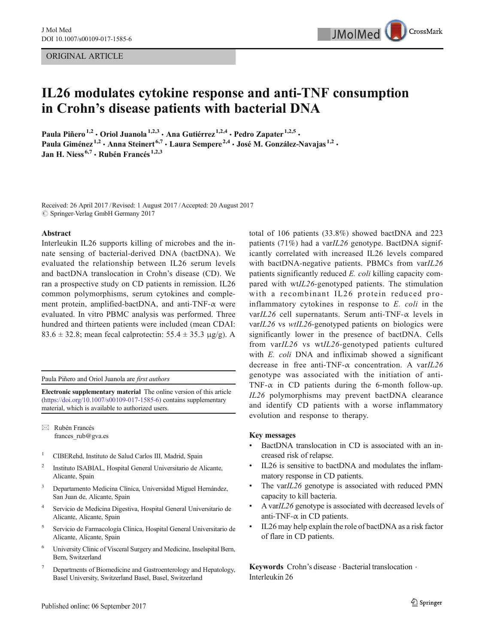ORIGINAL ARTICLE



# IL26 modulates cytokine response and anti-TNF consumption in Crohn's disease patients with bacterial DNA

Paula Piñero<sup>1,2</sup> · Oriol Juanola<sup>1,2,3</sup> · Ana Gutiérrez<sup>1,2,4</sup> · Pedro Zapater<sup>1,2,5</sup> · Paula Giménez<sup>1,2</sup> • Anna Steinert<sup>6,7</sup> • Laura Sempere<sup>2,4</sup> • José M. González-Navajas<sup>1,2</sup> • Jan H. Niess<sup>6,7</sup> · Rubén Francés<sup>1,2,3</sup>

Received: 26 April 2017 /Revised: 1 August 2017 /Accepted: 20 August 2017  $\oslash$  Springer-Verlag GmbH Germany 2017

#### Abstract

Interleukin IL26 supports killing of microbes and the innate sensing of bacterial-derived DNA (bactDNA). We evaluated the relationship between IL26 serum levels and bactDNA translocation in Crohn's disease (CD). We ran a prospective study on CD patients in remission. IL26 common polymorphisms, serum cytokines and complement protein, amplified-bactDNA, and anti-TNF- $\alpha$  were evaluated. In vitro PBMC analysis was performed. Three hundred and thirteen patients were included (mean CDAI: 83.6  $\pm$  32.8; mean fecal calprotectin: 55.4  $\pm$  35.3  $\mu$ g/g). A

Paula Piñero and Oriol Juanola are first authors

Electronic supplementary material The online version of this article (<https://doi.org/10.1007/s00109-017-1585-6>) contains supplementary material, which is available to authorized users.

 $\boxtimes$  Rubén Francés frances rub@gva.es

- <sup>1</sup> CIBERehd, Instituto de Salud Carlos III, Madrid, Spain
- <sup>2</sup> Instituto ISABIAL, Hospital General Universitario de Alicante, Alicante, Spain
- Departamento Medicina Clínica, Universidad Miguel Hernández, San Juan de, Alicante, Spain
- <sup>4</sup> Servicio de Medicina Digestiva, Hospital General Universitario de Alicante, Alicante, Spain
- <sup>5</sup> Servicio de Farmacología Clínica, Hospital General Universitario de Alicante, Alicante, Spain
- <sup>6</sup> University Clinic of Visceral Surgery and Medicine, Inselspital Bern, Bern, Switzerland
- <sup>7</sup> Departments of Biomedicine and Gastroenterology and Hepatology, Basel University, Switzerland Basel, Basel, Switzerland

total of 106 patients (33.8%) showed bactDNA and 223 patients (71%) had a var $IL26$  genotype. BactDNA significantly correlated with increased IL26 levels compared with bactDNA-negative patients. PBMCs from varIL26 patients significantly reduced E. coli killing capacity compared with wtIL26-genotyped patients. The stimulation with a recombinant IL26 protein reduced proinflammatory cytokines in response to E. coli in the varIL26 cell supernatants. Serum anti-TNF- $\alpha$  levels in varIL26 vs wtIL26-genotyped patients on biologics were significantly lower in the presence of bactDNA. Cells from varIL26 vs wtIL26-genotyped patients cultured with E. coli DNA and infliximab showed a significant decrease in free anti-TNF- $\alpha$  concentration. A varIL26 genotype was associated with the initiation of anti-TNF- $\alpha$  in CD patients during the 6-month follow-up. IL26 polymorphisms may prevent bactDNA clearance and identify CD patients with a worse inflammatory evolution and response to therapy.

## Key messages

- BactDNA translocation in CD is associated with an increased risk of relapse.
- IL26 is sensitive to bactDNA and modulates the inflammatory response in CD patients.
- The varIL26 genotype is associated with reduced PMN capacity to kill bacteria.
- & A varIL26 genotype is associated with decreased levels of anti-TNF- $\alpha$  in CD patients.
- IL26 may help explain the role of bactDNA as a risk factor of flare in CD patients.

Keywords Crohn's disease  $\cdot$  Bacterial translocation  $\cdot$ Interleukin 26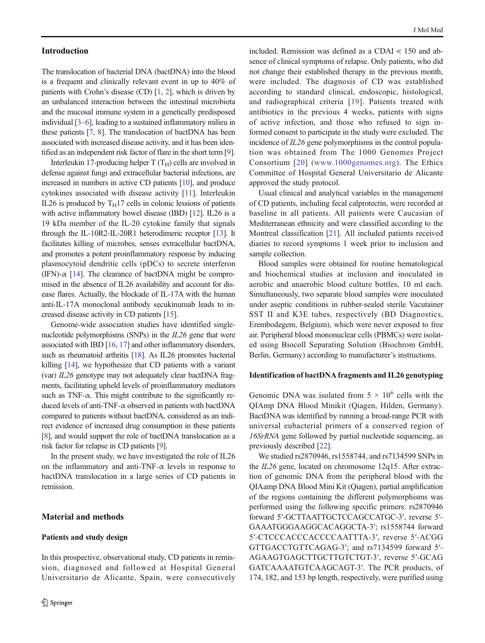## Introduction

The translocation of bacterial DNA (bactDNA) into the blood is a frequent and clinically relevant event in up to 40% of patients with Crohn's disease (CD) [\[1,](#page-8-0) [2\]](#page-8-0), which is driven by an unbalanced interaction between the intestinal microbiota and the mucosal immune system in a genetically predisposed individual [\[3](#page-8-0)–[6](#page-9-0)], leading to a sustained inflammatory milieu in these patients [\[7](#page-9-0), [8\]](#page-9-0). The translocation of bactDNA has been associated with increased disease activity, and it has been identified as an independent risk factor of flare in the short term [[9\]](#page-9-0).

Interleukin 17-producing helper  $T(T_H)$  cells are involved in defense against fungi and extracellular bacterial infections, are increased in numbers in active CD patients [\[10](#page-9-0)], and produce cytokines associated with disease activity [[11\]](#page-9-0). Interleukin IL26 is produced by  $T_H17$  cells in colonic lessions of patients with active inflammatory bowel disease (IBD) [\[12\]](#page-9-0). IL26 is a 19 kDa member of the IL-20 cytokine family that signals through the IL-10R2-IL-20R1 heterodimeric receptor [\[13](#page-9-0)]. It facilitates killing of microbes, senses extracellular bactDNA, and promotes a potent proinflammatory response by inducing plasmocytoid dendritic cells (pDCs) to secrete interferon (IFN)- $\alpha$  [[14](#page-9-0)]. The clearance of bactDNA might be compromised in the absence of IL26 availability and account for disease flares. Actually, the blockade of IL-17A with the human anti-IL-17A monoclonal antibody secukinumab leads to increased disease activity in CD patients [\[15](#page-9-0)].

Genome-wide association studies have identified singlenucleotide polymorphisms (SNPs) in the IL26 gene that were associated with IBD [\[16](#page-9-0), [17](#page-9-0)] and other inflammatory disorders, such as rheumatoid arthritis [\[18\]](#page-9-0). As IL26 promotes bacterial killing [[14](#page-9-0)], we hypothesize that CD patients with a variant (var) IL26 genotype may not adequately clear bactDNA fragments, facilitating upheld levels of proinflammatory mediators such as TNF- $\alpha$ . This might contribute to the significantly reduced levels of anti-TNF-α observed in patients with bactDNA compared to patients without bactDNA, considered as an indirect evidence of increased drug consumption in these patients [\[8\]](#page-9-0), and would support the role of bactDNA translocation as a risk factor for relapse in CD patients [[9](#page-9-0)].

In the present study, we have investigated the role of IL26 on the inflammatory and anti-TNF- $\alpha$  levels in response to bactDNA translocation in a large series of CD patients in remission.

## Material and methods

#### Patients and study design

In this prospective, observational study, CD patients in remission, diagnosed and followed at Hospital General Universitario de Alicante, Spain, were consecutively

included. Remission was defined as a CDAI < 150 and absence of clinical symptoms of relapse. Only patients, who did not change their established therapy in the previous month, were included. The diagnosis of CD was established according to standard clinical, endoscopic, histological, and radiographical criteria [[19\]](#page-9-0). Patients treated with antibiotics in the previous 4 weeks, patients with signs of active infection, and those who refused to sign informed consent to participate in the study were excluded. The incidence of IL26 gene polymorphisms in the control population was obtained from The 1000 Genomes Project Consortium [[20\]](#page-9-0) ([www.1000genomes.org\)](http://www.1000genomes.org). The Ethics Committee of Hospital General Universitario de Alicante approved the study protocol.

Usual clinical and analytical variables in the management of CD patients, including fecal calprotectin, were recorded at baseline in all patients. All patients were Caucasian of Mediterranean ethnicity and were classified according to the Montreal classification [\[21\]](#page-9-0). All included patients received diaries to record symptoms 1 week prior to inclusion and sample collection.

Blood samples were obtained for routine hematological and biochemical studies at inclusion and inoculated in aerobic and anaerobic blood culture bottles, 10 ml each. Simultaneously, two separate blood samples were inoculated under aseptic conditions in rubber-sealed sterile Vacutainer SST II and K3E tubes, respectively (BD Diagnostics, Erembodegem, Belgium), which were never exposed to free air. Peripheral blood mononuclear cells (PBMCs) were isolated using Biocoll Separating Solution (Biochrom GmbH, Berlin, Germany) according to manufacturer's instructions.

#### Identification of bactDNA fragments and IL26 genotyping

Genomic DNA was isolated from  $5 \times 10^6$  cells with the QIAmp DNA Blood Minikit (Qiagen, Hilden, Germany). BactDNA was identified by running a broad-range PCR with universal eubacterial primers of a conserved region of 16SrRNA gene followed by partial nucleotide sequencing, as previously described [\[22](#page-9-0)].

We studied rs2870946, rs1558744, and rs7134599 SNPs in the IL26 gene, located on chromosome 12q15. After extraction of genomic DNA from the peripheral blood with the QIAamp DNA Blood Mini Kit (Qiagen), partial amplification of the regions containing the different polymorphisms was performed using the following specific primers: rs2870946 forward 5′-GCTTAATTGCTCCAGCCATGC-3′, reverse 5′- GAAATGGGAAGGCACAGGCTA-3′; rs1558744 forward 5′-CTCCCACCCACCCCAATTTA-3′, reverse 5′-ACGG GTTGACCTGTTCAGAG-3′; and rs7134599 forward 5′- AGAAGTGAGCTTGCTTGTCTGT-3′, reverse 5′-GCAG GATCAAAATGTCAAGCAGT-3′. The PCR products, of 174, 182, and 153 bp length, respectively, were purified using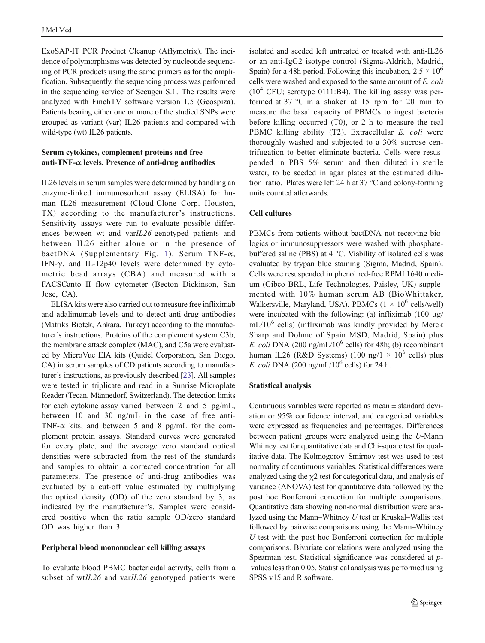ExoSAP-IT PCR Product Cleanup (Affymetrix). The incidence of polymorphisms was detected by nucleotide sequencing of PCR products using the same primers as for the amplification. Subsequently, the sequencing process was performed in the sequencing service of Secugen S.L. The results were analyzed with FinchTV software version 1.5 (Geospiza). Patients bearing either one or more of the studied SNPs were grouped as variant (var) IL26 patients and compared with wild-type (wt) IL26 patients.

## Serum cytokines, complement proteins and free anti-TNF- $\alpha$  levels. Presence of anti-drug antibodies

IL26 levels in serum samples were determined by handling an enzyme-linked immunosorbent assay (ELISA) for human IL26 measurement (Cloud-Clone Corp. Houston, TX) according to the manufacturer's instructions. Sensitivity assays were run to evaluate possible differences between wt and varIL26-genotyped patients and between IL26 either alone or in the presence of bactDNA (Supplementary Fig. 1). Serum TNF- $\alpha$ , IFN- $\gamma$ , and IL-12p40 levels were determined by cytometric bead arrays (CBA) and measured with a FACSCanto II flow cytometer (Becton Dickinson, San Jose, CA).

ELISA kits were also carried out to measure free infliximab and adalimumab levels and to detect anti-drug antibodies (Matriks Biotek, Ankara, Turkey) according to the manufacturer's instructions. Proteins of the complement system C3b, the membrane attack complex (MAC), and C5a were evaluated by MicroVue EIA kits (Quidel Corporation, San Diego, CA) in serum samples of CD patients according to manufacturer's instructions, as previously described [\[23\]](#page-9-0). All samples were tested in triplicate and read in a Sunrise Microplate Reader (Tecan, Männedorf, Switzerland). The detection limits for each cytokine assay varied between 2 and 5 pg/mL, between 10 and 30 ng/mL in the case of free anti-TNF- $\alpha$  kits, and between 5 and 8 pg/mL for the complement protein assays. Standard curves were generated for every plate, and the average zero standard optical densities were subtracted from the rest of the standards and samples to obtain a corrected concentration for all parameters. The presence of anti-drug antibodies was evaluated by a cut-off value estimated by multiplying the optical density (OD) of the zero standard by 3, as indicated by the manufacturer's. Samples were considered positive when the ratio sample OD/zero standard OD was higher than 3.

#### Peripheral blood mononuclear cell killing assays

To evaluate blood PBMC bactericidal activity, cells from a subset of wtIL26 and varIL26 genotyped patients were isolated and seeded left untreated or treated with anti-IL26 or an anti-IgG2 isotype control (Sigma-Aldrich, Madrid, Spain) for a 48h period. Following this incubation,  $2.5 \times 10^6$ cells were washed and exposed to the same amount of E. coli  $(10^4 \text{ CFU}; \text{ serotype } 0111: \text{B4})$ . The killing assay was performed at 37 °C in a shaker at 15 rpm for 20 min to measure the basal capacity of PBMCs to ingest bacteria before killing occurred (T0), or 2 h to measure the real PBMC killing ability (T2). Extracellular E. coli were thoroughly washed and subjected to a 30% sucrose centrifugation to better eliminate bacteria. Cells were resuspended in PBS 5% serum and then diluted in sterile water, to be seeded in agar plates at the estimated dilution ratio. Plates were left 24 h at 37 °C and colony-forming units counted afterwards.

# Cell cultures

PBMCs from patients without bactDNA not receiving biologics or immunosuppressors were washed with phosphatebuffered saline (PBS) at 4 °C. Viability of isolated cells was evaluated by trypan blue staining (Sigma, Madrid, Spain). Cells were resuspended in phenol red-free RPMI 1640 medium (Gibco BRL, Life Technologies, Paisley, UK) supplemented with 10% human serum AB (BioWhittaker, Walkersville, Maryland, USA). PBMCs  $(1 \times 10^6 \text{ cells/well})$ were incubated with the following: (a) infliximab (100 μg/  $mL/10^6$  cells) (infliximab was kindly provided by Merck Sharp and Dohme of Spain MSD, Madrid, Spain) plus E. coli DNA (200 ng/mL/10<sup>6</sup> cells) for 48h; (b) recombinant human IL26 (R&D Systems) (100 ng/1  $\times$  10<sup>6</sup> cells) plus E. coli DNA (200 ng/mL/ $10^6$  cells) for 24 h.

## Statistical analysis

Continuous variables were reported as mean  $\pm$  standard deviation or 95% confidence interval, and categorical variables were expressed as frequencies and percentages. Differences between patient groups were analyzed using the U-Mann Whitney test for quantitative data and Chi-square test for qualitative data. The Kolmogorov–Smirnov test was used to test normality of continuous variables. Statistical differences were analyzed using the  $\chi$ 2 test for categorical data, and analysis of variance (ANOVA) test for quantitative data followed by the post hoc Bonferroni correction for multiple comparisons. Quantitative data showing non-normal distribution were analyzed using the Mann–Whitney U test or Kruskal–Wallis test followed by pairwise comparisons using the Mann–Whitney  $U$  test with the post hoc Bonferroni correction for multiple comparisons. Bivariate correlations were analyzed using the Spearman test. Statistical significance was considered at pvalues less than 0.05. Statistical analysis was performed using SPSS v15 and R software.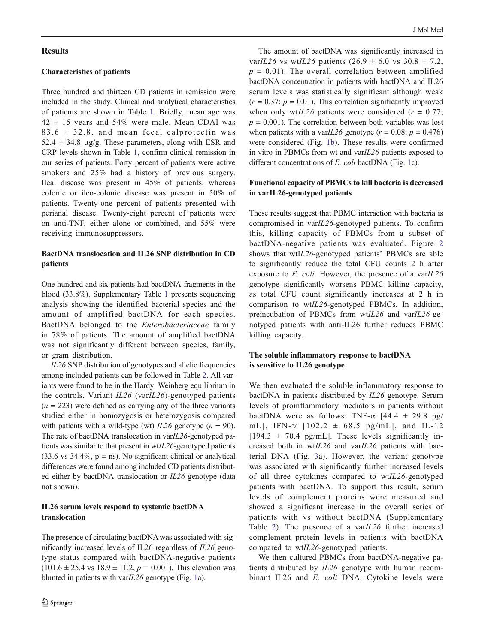## Results

#### Characteristics of patients

Three hundred and thirteen CD patients in remission were included in the study. Clinical and analytical characteristics of patients are shown in Table [1.](#page-4-0) Briefly, mean age was  $42 \pm 15$  years and 54% were male. Mean CDAI was  $83.6 \pm 32.8$ , and mean fecal calprotectin was  $52.4 \pm 34.8$  μg/g. These parameters, along with ESR and CRP levels shown in Table [1,](#page-4-0) confirm clinical remission in our series of patients. Forty percent of patients were active smokers and 25% had a history of previous surgery. Ileal disease was present in 45% of patients, whereas colonic or ileo-colonic disease was present in 50% of patients. Twenty-one percent of patients presented with perianal disease. Twenty-eight percent of patients were on anti-TNF, either alone or combined, and 55% were receiving immunosuppressors.

# BactDNA translocation and IL26 SNP distribution in CD patients

One hundred and six patients had bactDNA fragments in the blood (33.8%). Supplementary Table 1 presents sequencing analysis showing the identified bacterial species and the amount of amplified bactDNA for each species. BactDNA belonged to the Enterobacteriaceae family in 78% of patients. The amount of amplified bactDNA was not significantly different between species, family, or gram distribution.

IL26 SNP distribution of genotypes and allelic frequencies among included patients can be followed in Table [2.](#page-5-0) All variants were found to be in the Hardy–Weinberg equilibrium in the controls. Variant  $IL26$  (var $IL26$ )-genotyped patients  $(n = 223)$  were defined as carrying any of the three variants studied either in homozygosis or heterozygosis compared with patients with a wild-type (wt)  $IL26$  genotype ( $n = 90$ ). The rate of bactDNA translocation in varIL26-genotyped patients was similar to that present in wtIL26-genotyped patients  $(33.6 \text{ vs } 34.4\%, \text{ p = ns})$ . No significant clinical or analytical differences were found among included CD patients distributed either by bactDNA translocation or IL26 genotype (data not shown).

## IL26 serum levels respond to systemic bactDNA translocation

The presence of circulating bactDNA was associated with significantly increased levels of IL26 regardless of IL26 genotype status compared with bactDNA-negative patients  $(101.6 \pm 25.4 \text{ vs } 18.9 \pm 11.2, p = 0.001)$ . This elevation was blunted in patients with varIL26 genotype (Fig. [1a](#page-5-0)).

The amount of bactDNA was significantly increased in varIL26 vs wtIL26 patients  $(26.9 \pm 6.0 \text{ vs } 30.8 \pm 7.2,$  $p = 0.01$ ). The overall correlation between amplified bactDNA concentration in patients with bactDNA and IL26 serum levels was statistically significant although weak  $(r = 0.37; p = 0.01)$ . This correlation significantly improved when only wt*IL26* patients were considered ( $r = 0.77$ ;  $p = 0.001$ ). The correlation between both variables was lost when patients with a varIL26 genotype ( $r = 0.08$ ;  $p = 0.476$ ) were considered (Fig. [1b](#page-5-0)). These results were confirmed in vitro in PBMCs from wt and varIL26 patients exposed to different concentrations of E. coli bactDNA (Fig. [1](#page-5-0)c).

# Functional capacity of PBMCs to kill bacteria is decreased in varIL26-genotyped patients

These results suggest that PBMC interaction with bacteria is compromised in varIL26-genotyped patients. To confirm this, killing capacity of PBMCs from a subset of bactDNA-negative patients was evaluated. Figure [2](#page-6-0) shows that wtIL26-genotyped patients' PBMCs are able to significantly reduce the total CFU counts 2 h after exposure to  $E.$  coli. However, the presence of a var $IL26$ genotype significantly worsens PBMC killing capacity, as total CFU count significantly increases at 2 h in comparison to wtIL26-genotyped PBMCs. In addition, preincubation of PBMCs from wtIL26 and varIL26-genotyped patients with anti-IL26 further reduces PBMC killing capacity.

## The soluble inflammatory response to bactDNA is sensitive to IL26 genotype

We then evaluated the soluble inflammatory response to bactDNA in patients distributed by IL26 genotype. Serum levels of proinflammatory mediators in patients without bactDNA were as follows: TNF- $\alpha$  [44.4  $\pm$  29.8 pg/ mL], IFN- $\gamma$  [102.2  $\pm$  68.5 pg/mL], and IL-12  $[194.3 \pm 70.4 \text{ pg/mL}]$ . These levels significantly increased both in wtIL26 and varIL26 patients with bacterial DNA (Fig. [3a](#page-6-0)). However, the variant genotype was associated with significantly further increased levels of all three cytokines compared to wtIL26-genotyped patients with bactDNA. To support this result, serum levels of complement proteins were measured and showed a significant increase in the overall series of patients with vs without bactDNA (Supplementary Table 2). The presence of a varIL26 further increased complement protein levels in patients with bactDNA compared to wtIL26-genotyped patients.

We then cultured PBMCs from bactDNA-negative patients distributed by IL26 genotype with human recombinant IL26 and E. coli DNA. Cytokine levels were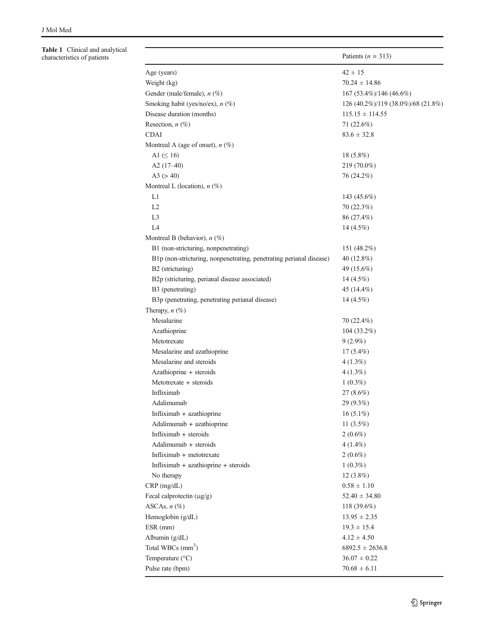<span id="page-4-0"></span>Table 1 Clinical and analytical characteristics of patients

|                                                                     | Patients ( $n = 313$ )             |
|---------------------------------------------------------------------|------------------------------------|
| Age (years)                                                         | $42 \pm 15$                        |
| Weight (kg)                                                         | $70.24 \pm 14.86$                  |
| Gender (male/female), n (%)                                         | 167 (53.4%)/146 (46.6%)            |
| Smoking habit (yes/no/ex), $n$ (%)                                  | 126 (40.2%)/119 (38.0%)/68 (21.8%) |
| Disease duration (months)                                           | $115.15 \pm 114.55$                |
| Resection, $n$ (%)                                                  | 71 (22.6%)                         |
| <b>CDAI</b>                                                         | $83.6 \pm 32.8$                    |
| Montreal A (age of onset), $n$ (%)                                  |                                    |
| A1 $( \leq 16)$                                                     | $18(5.8\%)$                        |
| A2 $(17-40)$                                                        | 219 (70.0%)                        |
| A3 (> 40)                                                           | 76 (24.2%)                         |
| Montreal L (location), $n$ (%)                                      |                                    |
| L1                                                                  | 143 $(45.6%)$                      |
| L2                                                                  | 70 (22.3%)                         |
| L <sub>3</sub>                                                      | 86 (27.4%)                         |
| L4                                                                  | 14 $(4.5\%)$                       |
| Montreal B (behavior), $n$ (%)                                      |                                    |
| B1 (non-stricturing, nonpenetrating)                                | 151 (48.2%)                        |
| B1p (non-stricturing, nonpenetrating, penetrating perianal disease) | 40 $(12.8\%)$                      |
| B2 (stricturing)                                                    | 49 (15.6%)                         |
| B2p (stricturing, perianal disease associated)                      | $14(4.5\%)$                        |
| B3 (penetrating)                                                    | 45 (14.4%)                         |
| B3p (penetrating, penetrating perianal disease)                     | $14(4.5\%)$                        |
| Therapy, $n$ (%)                                                    |                                    |
| Mesalazine                                                          | 70 (22.4%)                         |
| Azathioprine                                                        | $104(33.2\%)$                      |
| Metotrexate                                                         | $9(2.9\%)$                         |
| Mesalazine and azathioprine                                         | $17(5.4\%)$                        |
| Mesalazine and steroids                                             | $4(1.3\%)$                         |
| Azathioprine + steroids                                             | $4(1.3\%)$                         |
| Metotrexate + steroids                                              | $1(0.3\%)$                         |
| Infliximab                                                          | $27 \, (8.6\%)$                    |
| Adalimumab                                                          | $29(9.3\%)$                        |
| Infliximab + azathioprine                                           | $16(5.1\%)$                        |
| Adalimumab + azathioprine                                           | 11 $(3.5\%)$                       |
| Infliximab + steroids                                               | $2(0.6\%)$                         |
| Adalimumab + steroids                                               | $4(1.4\%)$                         |
| Infliximab + metotrexate                                            | $2(0.6\%)$                         |
| Infliximab + azathioprine + steroids                                | $1(0.3\%)$                         |
| No therapy                                                          | $12(3.8\%)$                        |
| $CRP$ (mg/dL)                                                       | $0.58 \pm 1.10$                    |
| Fecal calprotectin (µg/g)                                           | $52.40 \pm 34.80$                  |
| ASCAs, $n$ (%)                                                      | 118 $(39.6\%)$                     |
| Hemoglobin (g/dL)                                                   | $13.95 \pm 2.35$                   |
| ESR (mm)                                                            | $19.3 \pm 15.4$                    |
| Albumin (g/dL)                                                      | $4.12 \pm 4.50$                    |
| Total WBCs $(mm3)$                                                  | $6892.5 \pm 2636.8$                |
| Temperature (°C)                                                    | $36.07 \pm 0.22$                   |
| Pulse rate (bpm)                                                    | $70.68 \pm 6.11$                   |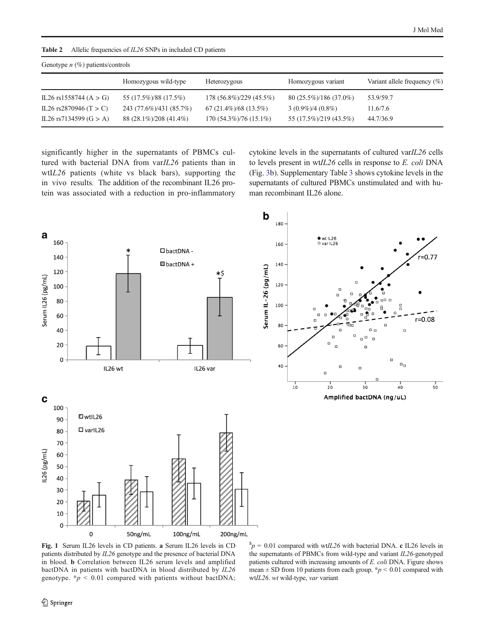<span id="page-5-0"></span>

| Allelic frequencies of <i>IL26</i> SNPs in included CD patients<br>Table 2 |  |
|----------------------------------------------------------------------------|--|
|----------------------------------------------------------------------------|--|

| Genotype $n$ (%) patients/controls |                         |                             |                        |                                  |  |  |
|------------------------------------|-------------------------|-----------------------------|------------------------|----------------------------------|--|--|
|                                    | Homozygous wild-type    | Heterozygous                | Homozygous variant     | Variant allele frequency $(\% )$ |  |  |
| IL26 rs1558744 (A $>$ G)           | 55 (17.5%)/88 (17.5%)   | 178 (56.8%)/229 (45.5%)     | 80 (25.5%)/186 (37.0%) | 53.9/59.7                        |  |  |
| IL26 rs2870946 (T $>$ C)           | 243 (77.6%)/431 (85.7%) | $67(21.4\%)$ /68 $(13.5\%)$ | $3(0.9\%)/4(0.8\%)$    | 11.6/7.6                         |  |  |
| IL26 rs7134599 $(G > A)$           | 88 (28.1%)/208 (41.4%)  | $170(54.3\%)/76(15.1\%)$    | 55 (17.5%)/219 (43.5%) | 44.7/36.9                        |  |  |

significantly higher in the supernatants of PBMCs cultured with bacterial DNA from varIL26 patients than in wtIL26 patients (white vs black bars), supporting the in vivo results. The addition of the recombinant IL26 protein was associated with a reduction in pro-inflammatory cytokine levels in the supernatants of cultured varIL26 cells to levels present in wtIL26 cells in response to E. coli DNA (Fig. [3b](#page-6-0)). Supplementary Table 3 shows cytokine levels in the supernatants of cultured PBMCs unstimulated and with human recombinant IL26 alone.



Fig. 1 Serum IL26 levels in CD patients. a Serum IL26 levels in CD patients distributed by IL26 genotype and the presence of bacterial DNA in blood. b Correlation between IL26 serum levels and amplified bactDNA in patients with bactDNA in blood distributed by IL26 genotype.  $\ast p$  < 0.01 compared with patients without bactDNA;

 $p = 0.01$  compared with wt*IL26* with bacterial DNA. c IL26 levels in the supernatants of PBMCs from wild-type and variant IL26-genotyped patients cultured with increasing amounts of E. coli DNA. Figure shows mean  $\pm$  SD from 10 patients from each group. \* $p$  < 0.01 compared with wtIL26. wt wild-type, var variant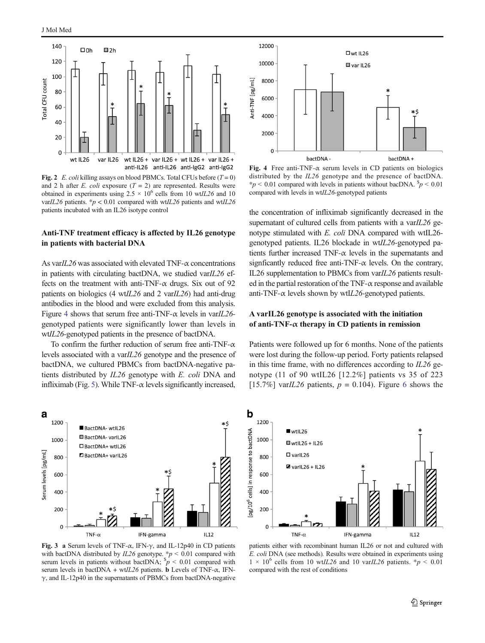<span id="page-6-0"></span>

Fig. 2 E. coli killing assays on blood PBMCs. Total CFUs before  $(T = 0)$ and 2 h after E. coli exposure  $(T = 2)$  are represented. Results were obtained in experiments using  $2.5 \times 10^6$  cells from 10 wtIL26 and 10 varIL26 patients. \*  $p$  < 0.01 compared with wtIL26 patients and wtIL26 patients incubated with an IL26 isotype control

## Anti-TNF treatment efficacy is affected by IL26 genotype in patients with bacterial DNA

As var $IL26$  was associated with elevated TNF- $\alpha$  concentrations in patients with circulating bactDNA, we studied var $IL26$  effects on the treatment with anti-TNF- $\alpha$  drugs. Six out of 92 patients on biologics (4 wtIL26 and 2 varIL26) had anti-drug antibodies in the blood and were excluded from this analysis. Figure 4 shows that serum free anti-TNF- $\alpha$  levels in varIL26genotyped patients were significantly lower than levels in wtIL26-genotyped patients in the presence of bactDNA.

To confirm the further reduction of serum free anti-TNF- $\alpha$ levels associated with a varIL26 genotype and the presence of bactDNA, we cultured PBMCs from bactDNA-negative patients distributed by IL26 genotype with E. coli DNA and infliximab (Fig. [5\)](#page-7-0). While TNF- $\alpha$  levels significantly increased,



Fig. 4 Free anti-TNF- $\alpha$  serum levels in CD patients on biologics distributed by the IL26 genotype and the presence of bactDNA. \*p < 0.01 compared with levels in patients without bacDNA.  $p$  < 0.01 compared with levels in wtIL26-genotyped patients

the concentration of infliximab significantly decreased in the supernatant of cultured cells from patients with a var $IL26$  genotype stimulated with E. coli DNA compared with wtIL26 genotyped patients. IL26 blockade in wtIL26-genotyped patients further increased TNF- $\alpha$  levels in the supernatants and signficantly reduced free anti-TNF- $\alpha$  levels. On the contrary, IL26 supplementation to PBMCs from varIL26 patients resulted in the partial restoration of the TNF- $\alpha$  response and available anti-TNF- $\alpha$  levels shown by wtIL26-genotyped patients.

# A varIL26 genotype is associated with the initiation of anti-TNF- $\alpha$  therapy in CD patients in remission

Patients were followed up for 6 months. None of the patients were lost during the follow-up period. Forty patients relapsed in this time frame, with no differences according to  $IL26$  genotype (11 of 90 wtIL26 [12.2%] patients vs 35 of 223 [15.7%] varIL2[6](#page-7-0) patients,  $p = 0.104$ ). Figure 6 shows the



b 1200 [pg/10<sup>6</sup> cells] in response to bactDNA  $wtl26$ 1000  $\blacksquare$  wtlL26 + IL26  $\square$  varil 26 800  $2$  varIL26 + IL26 600 400 200  $\Omega$ TNF- $\alpha$ IFN-gamma  $IL12$ 

Fig. 3 a Serum levels of TNF- $\alpha$ , IFN- $\gamma$ , and IL-12p40 in CD patients with bactDNA distributed by  $IL26$  genotype.  $*p < 0.01$  compared with serum levels in patients without bactDNA;  ${}^{s}p$  < 0.01 compared with serum levels in bactDNA + wtIL26 patients. b Levels of TNF- $\alpha$ , IFN- $\gamma$ , and IL-12p40 in the supernatants of PBMCs from bactDNA-negative

patients either with recombinant human IL26 or not and cultured with E. coli DNA (see methods). Results were obtained in experiments using  $1 \times 10^6$  cells from 10 wtIL26 and 10 varIL26 patients. \*p < 0.01 compared with the rest of conditions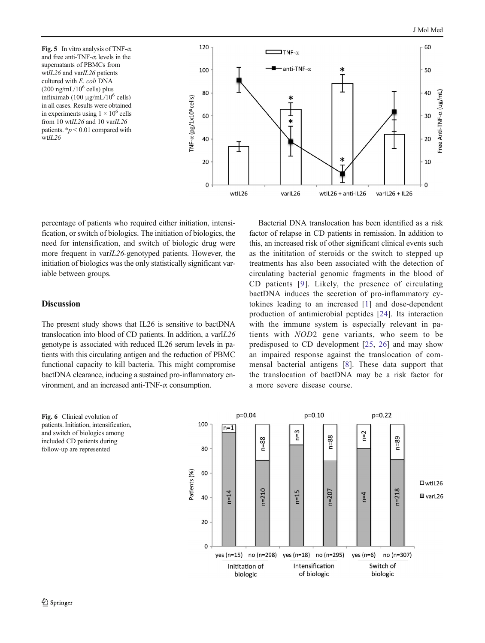<span id="page-7-0"></span>Fig. 5 In vitro analysis of TNF- $\alpha$ and free anti-TNF- $\alpha$  levels in the supernatants of PBMCs from wtIL26 and varIL26 patients cultured with E. coli DNA  $(200 \text{ ng/mL}/10^6 \text{ cells})$  plus infliximab (100 μg/mL/10<sup>6</sup> cells) in all cases. Results were obtained in experiments using  $1 \times 10^6$  cells from 10 wtIL26 and 10 varIL26 patients.  $\frac{k}{p}$  < 0.01 compared with wtIL26



percentage of patients who required either initiation, intensification, or switch of biologics. The initiation of biologics, the need for intensification, and switch of biologic drug were more frequent in varIL26-genotyped patients. However, the initiation of biologics was the only statistically significant variable between groups.

## Discussion

The present study shows that IL26 is sensitive to bactDNA translocation into blood of CD patients. In addition, a varIL26 genotype is associated with reduced IL26 serum levels in patients with this circulating antigen and the reduction of PBMC functional capacity to kill bacteria. This might compromise bactDNA clearance, inducing a sustained pro-inflammatory environment, and an increased anti-TNF- $\alpha$  consumption.

Bacterial DNA translocation has been identified as a risk factor of relapse in CD patients in remission. In addition to this, an increased risk of other significant clinical events such as the inititation of steroids or the switch to stepped up treatments has also been associated with the detection of circulating bacterial genomic fragments in the blood of CD patients [[9](#page-9-0)]. Likely, the presence of circulating bactDNA induces the secretion of pro-inflammatory cytokines leading to an increased [[1](#page-8-0)] and dose-dependent production of antimicrobial peptides [\[24\]](#page-9-0). Its interaction with the immune system is especially relevant in patients with NOD2 gene variants, who seem to be predisposed to CD development [\[25,](#page-9-0) [26](#page-9-0)] and may show an impaired response against the translocation of commensal bacterial antigens [[8](#page-9-0)]. These data support that the translocation of bactDNA may be a risk factor for a more severe disease course.



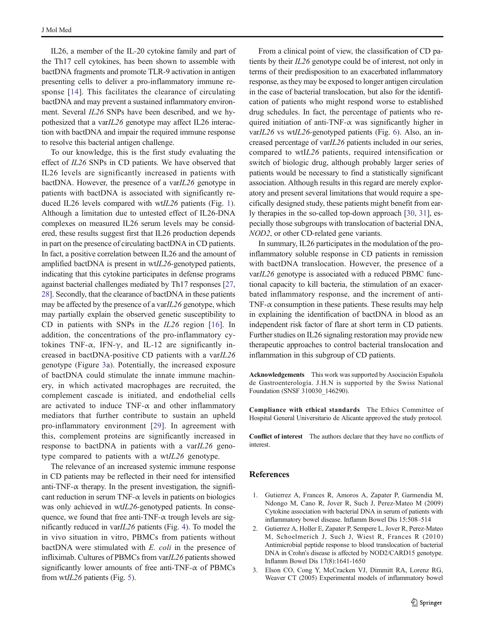<span id="page-8-0"></span>IL26, a member of the IL-20 cytokine family and part of the Th17 cell cytokines, has been shown to assemble with bactDNA fragments and promote TLR-9 activation in antigen presenting cells to deliver a pro-inflammatory immune re-sponse [[14\]](#page-9-0). This facilitates the clearance of circulating bactDNA and may prevent a sustained inflammatory environment. Several IL26 SNPs have been described, and we hypothesized that a varIL26 genotype may affect IL26 interaction with bactDNA and impair the required immune response to resolve this bacterial antigen challenge.

To our knowledge, this is the first study evaluating the effect of IL26 SNPs in CD patients. We have observed that IL26 levels are significantly increased in patients with bactDNA. However, the presence of a varIL26 genotype in patients with bactDNA is associated with significantly reduced IL26 levels compared with wtIL26 patients (Fig. [1](#page-5-0)). Although a limitation due to untested effect of IL26-DNA complexes on measured IL26 serum levels may be considered, these results suggest first that IL26 production depends in part on the presence of circulating bactDNA in CD patients. In fact, a positive correlation between IL26 and the amount of amplified bactDNA is present in wtIL26-genotyped patients, indicating that this cytokine participates in defense programs against bacterial challenges mediated by Th17 responses [[27,](#page-9-0) [28\]](#page-9-0). Secondly, that the clearance of bactDNA in these patients may be affected by the presence of a var $IL26$  genotype, which may partially explain the observed genetic susceptibility to CD in patients with SNPs in the IL26 region [[16\]](#page-9-0). In addition, the concentrations of the pro-inflammatory cytokines TNF- $\alpha$ , IFN- $\gamma$ , and IL-12 are significantly increased in bactDNA-positive CD patients with a varIL26 genotype (Figure [3a](#page-6-0)). Potentially, the increased exposure of bactDNA could stimulate the innate immune machinery, in which activated macrophages are recruited, the complement cascade is initiated, and endothelial cells are activated to induce TNF- $\alpha$  and other inflammatory mediators that further contribute to sustain an upheld pro-inflammatory environment [\[29](#page-9-0)]. In agreement with this, complement proteins are significantly increased in response to bactDNA in patients with a varIL26 genotype compared to patients with a wtIL26 genotype.

The relevance of an increased systemic immune response in CD patients may be reflected in their need for intensified anti-TNF- $\alpha$  therapy. In the present investigation, the significant reduction in serum TNF- $\alpha$  levels in patients on biologics was only achieved in wtIL26-genotyped patients. In consequence, we found that free anti-TNF- $\alpha$  trough levels are significantly reduced in varIL26 patients (Fig. [4](#page-6-0)). To model the in vivo situation in vitro, PBMCs from patients without bactDNA were stimulated with E. coli in the presence of infliximab. Cultures of PBMCs from varIL26 patients showed significantly lower amounts of free anti-TNF- $\alpha$  of PBMCs from wtIL26 patients (Fig. [5\)](#page-7-0).

From a clinical point of view, the classification of CD patients by their IL26 genotype could be of interest, not only in terms of their predisposition to an exacerbated inflammatory response, as they may be exposed to longer antigen circulation in the case of bacterial translocation, but also for the identification of patients who might respond worse to established drug schedules. In fact, the percentage of patients who required initiation of anti-TNF- $\alpha$  was significantly higher in varIL26 vs wtIL26-genotyped patients (Fig. [6\)](#page-7-0). Also, an increased percentage of varIL26 patients included in our series, compared to wtIL26 patients, required intensification or switch of biologic drug, although probably larger series of patients would be necessary to find a statistically significant association. Although results in this regard are merely exploratory and present several limitations that would require a specifically designed study, these patients might benefit from early therapies in the so-called top-down approach [\[30](#page-9-0), [31](#page-9-0)], especially those subgroups with translocation of bacterial DNA, NOD2, or other CD-related gene variants.

In summary, IL26 participates in the modulation of the proinflammatory soluble response in CD patients in remission with bactDNA translocation. However, the presence of a varIL26 genotype is associated with a reduced PBMC functional capacity to kill bacteria, the stimulation of an exacerbated inflammatory response, and the increment of anti-TNF- $\alpha$  consumption in these patients. These results may help in explaining the identification of bactDNA in blood as an independent risk factor of flare at short term in CD patients. Further studies on IL26 signaling restoration may provide new therapeutic approaches to control bacterial translocation and inflammation in this subgroup of CD patients.

Acknowledgements This work was supported by Asociación Española de Gastroenterología. J.H.N is supported by the Swiss National Foundation (SNSF 310030\_146290).

Compliance with ethical standards The Ethics Committee of Hospital General Universitario de Alicante approved the study protocol.

Conflict of interest The authors declare that they have no conflicts of interest.

#### References

- 1. Gutierrez A, Frances R, Amoros A, Zapater P, Garmendia M, Ndongo M, Cano R, Jover R, Such J, Perez-Mateo M (2009) Cytokine association with bacterial DNA in serum of patients with inflammatory bowel disease. Inflamm Bowel Dis 15:508–514
- 2. Gutierrez A, Holler E, Zapater P, Sempere L, Jover R, Perez-Mateo M, Schoelmerich J, Such J, Wiest R, Frances R (2010) Antimicrobial peptide response to blood translocation of bacterial DNA in Crohn's disease is affected by NOD2/CARD15 genotype. Inflamm Bowel Dis 17(8):1641-1650
- 3. Elson CO, Cong Y, McCracken VJ, Dimmitt RA, Lorenz RG, Weaver CT (2005) Experimental models of inflammatory bowel